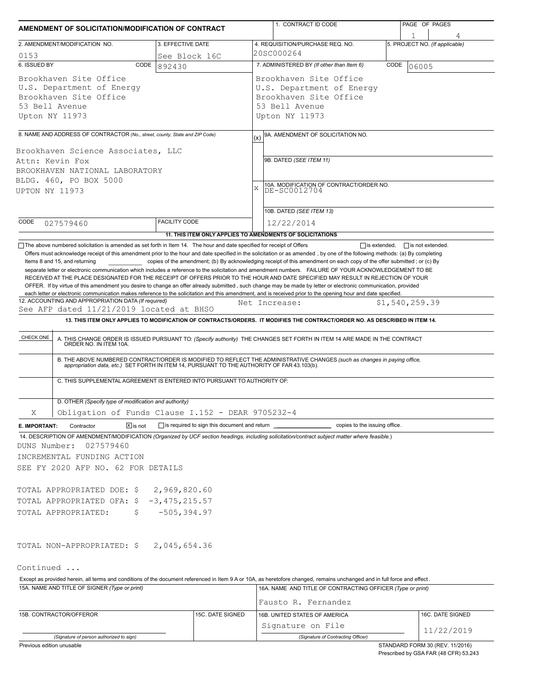| AMENDMENT OF SOLICITATION/MODIFICATION OF CONTRACT                                                                                                                                                          |                      |                  |                                                   | 1. CONTRACT ID CODE                                                                                                                                                                                                                                                                                                                                                       | PAGE OF PAGES |                         |                                |
|-------------------------------------------------------------------------------------------------------------------------------------------------------------------------------------------------------------|----------------------|------------------|---------------------------------------------------|---------------------------------------------------------------------------------------------------------------------------------------------------------------------------------------------------------------------------------------------------------------------------------------------------------------------------------------------------------------------------|---------------|-------------------------|--------------------------------|
|                                                                                                                                                                                                             |                      |                  |                                                   | 4. REQUISITION/PURCHASE REQ. NO.                                                                                                                                                                                                                                                                                                                                          |               |                         | 5. PROJECT NO. (If applicable) |
| 3. EFFECTIVE DATE<br>2. AMENDMENT/MODIFICATION NO.<br>See Block 16C                                                                                                                                         |                      |                  |                                                   | 20SC000264                                                                                                                                                                                                                                                                                                                                                                |               |                         |                                |
| 0153<br>6. ISSUED BY<br>CODE                                                                                                                                                                                | 892430               |                  | 7. ADMINISTERED BY (If other than Item 6)<br>CODE |                                                                                                                                                                                                                                                                                                                                                                           |               | 06005                   |                                |
| Brookhaven Site Office<br>U.S. Department of Energy<br>Brookhaven Site Office<br>53 Bell Avenue<br>Upton NY 11973                                                                                           |                      |                  |                                                   | Brookhaven Site Office<br>U.S. Department of Energy<br>Brookhaven Site Office<br>53 Bell Avenue<br>Upton NY 11973                                                                                                                                                                                                                                                         |               |                         |                                |
|                                                                                                                                                                                                             |                      |                  |                                                   |                                                                                                                                                                                                                                                                                                                                                                           |               |                         |                                |
| 8. NAME AND ADDRESS OF CONTRACTOR (No., street, county, State and ZIP Code)<br>Brookhaven Science Associates, LLC                                                                                           |                      |                  | (x)                                               | 9A. AMENDMENT OF SOLICITATION NO.                                                                                                                                                                                                                                                                                                                                         |               |                         |                                |
| Attn: Kevin Fox<br>BROOKHAVEN NATIONAL LABORATORY<br>BLDG. 460, PO BOX 5000                                                                                                                                 |                      |                  |                                                   | 9B. DATED (SEE ITEM 11)<br>10A. MODIFICATION OF CONTRACT/ORDER NO.                                                                                                                                                                                                                                                                                                        |               |                         |                                |
| UPTON NY 11973                                                                                                                                                                                              |                      |                  | $\mathbf{x}$                                      | DE-SC0012704                                                                                                                                                                                                                                                                                                                                                              |               |                         |                                |
|                                                                                                                                                                                                             | <b>FACILITY CODE</b> |                  |                                                   | 10B. DATED (SEE ITEM 13)                                                                                                                                                                                                                                                                                                                                                  |               |                         |                                |
| CODE<br>027579460                                                                                                                                                                                           |                      |                  |                                                   | 12/22/2014                                                                                                                                                                                                                                                                                                                                                                |               |                         |                                |
|                                                                                                                                                                                                             |                      |                  |                                                   | 11. THIS ITEM ONLY APPLIES TO AMENDMENTS OF SOLICITATIONS                                                                                                                                                                                                                                                                                                                 |               | $\Box$ is not extended. |                                |
| CHECK ONE                                                                                                                                                                                                   |                      |                  |                                                   | A. THIS CHANGE ORDER IS ISSUED PURSUANT TO: (Specify authority) THE CHANGES SET FORTH IN ITEM 14 ARE MADE IN THE CONTRACT ORDER NO. IN ITEM 10A.<br>B. THE ABOVE NUMBERED CONTRACT/ORDER IS MODIFIED TO REFLECT THE ADMINISTRATIVE CHANGES (such as changes in paying office, appropriation data, etc.) SET FORTH IN ITEM 14, PURSUANT TO THE AUTHORITY OF FAR 43.103(b). |               |                         |                                |
| C. THIS SUPPLEMENTAL AGREEMENT IS ENTERED INTO PURSUANT TO AUTHORITY OF:                                                                                                                                    |                      |                  |                                                   |                                                                                                                                                                                                                                                                                                                                                                           |               |                         |                                |
| D. OTHER (Specify type of modification and authority)                                                                                                                                                       |                      |                  |                                                   |                                                                                                                                                                                                                                                                                                                                                                           |               |                         |                                |
| Obligation of Funds Clause I.152 - DEAR 9705232-4<br>Χ                                                                                                                                                      |                      |                  |                                                   |                                                                                                                                                                                                                                                                                                                                                                           |               |                         |                                |
| $\boxed{\mathsf{x}}$ is not<br>Contractor<br>E. IMPORTANT:<br>14. DESCRIPTION OF AMENDMENT/MODIFICATION (Organized by UCF section headings, including solicitation/contract subject matter where feasible.) |                      |                  |                                                   | is required to sign this document and return ___________________________ copies to the issuing office.                                                                                                                                                                                                                                                                    |               |                         |                                |
| DUNS Number:<br>027579460<br>INCREMENTAL FUNDING ACTION                                                                                                                                                     |                      |                  |                                                   |                                                                                                                                                                                                                                                                                                                                                                           |               |                         |                                |
| SEE FY 2020 AFP NO. 62 FOR DETAILS                                                                                                                                                                          |                      |                  |                                                   |                                                                                                                                                                                                                                                                                                                                                                           |               |                         |                                |
| TOTAL APPROPRIATED DOE: \$2,969,820.60<br>TOTAL APPROPRIATED OFA: \$ -3,475,215.57                                                                                                                          |                      |                  |                                                   |                                                                                                                                                                                                                                                                                                                                                                           |               |                         |                                |
| TOTAL APPROPRIATED:<br>\$.                                                                                                                                                                                  | $-505, 394.97$       |                  |                                                   |                                                                                                                                                                                                                                                                                                                                                                           |               |                         |                                |
| TOTAL NON-APPROPRIATED: \$2,045,654.36                                                                                                                                                                      |                      |                  |                                                   |                                                                                                                                                                                                                                                                                                                                                                           |               |                         |                                |
| Continued                                                                                                                                                                                                   |                      |                  |                                                   |                                                                                                                                                                                                                                                                                                                                                                           |               |                         |                                |
| Except as provided herein, all terms and conditions of the document referenced in Item 9 A or 10A, as heretofore changed, remains unchanged and in full force and effect.                                   |                      |                  |                                                   |                                                                                                                                                                                                                                                                                                                                                                           |               |                         |                                |
| 15A. NAME AND TITLE OF SIGNER (Type or print)                                                                                                                                                               |                      |                  |                                                   | 16A. NAME AND TITLE OF CONTRACTING OFFICER (Type or print)<br>Fausto R. Fernandez                                                                                                                                                                                                                                                                                         |               |                         |                                |
| 15B. CONTRACTOR/OFFEROR                                                                                                                                                                                     |                      | 15C. DATE SIGNED |                                                   | 16B. UNITED STATES OF AMERICA                                                                                                                                                                                                                                                                                                                                             |               |                         | 16C. DATE SIGNED               |
|                                                                                                                                                                                                             |                      |                  |                                                   | Signature on File                                                                                                                                                                                                                                                                                                                                                         |               |                         |                                |
| (Signature of person authorized to sign)                                                                                                                                                                    |                      |                  |                                                   | (Signature of Contracting Officer)                                                                                                                                                                                                                                                                                                                                        |               |                         | 11/22/2019                     |

Previous edition unusable

STANDARD FORM 30 (REV. 11/2016) Prescribed by GSA FAR (48 CFR) 53.243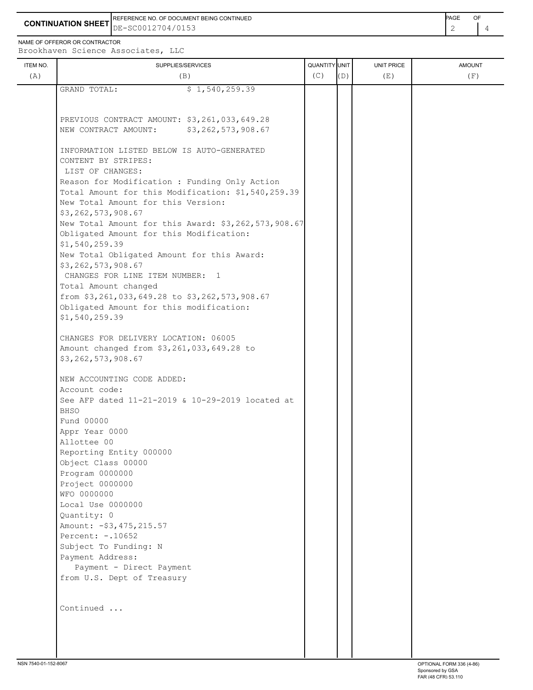REFERENCE NO. OF DOCUMENT BEING CONTINUED **Example 2008** PAGE OF

**CONTINUATION SHEET** DE-SC0012704/0153

NAME OF OFFEROR OR CONTRACTOR Brookhaven Science Associates, LLC

| ITEM NO.<br>(A) | SUPPLIES/SERVICES<br>(B)                                          | QUANTITY UNIT<br>(C) | (D) | UNIT PRICE<br>(E) | <b>AMOUNT</b><br>(F) |
|-----------------|-------------------------------------------------------------------|----------------------|-----|-------------------|----------------------|
|                 | GRAND TOTAL:<br>\$1,540,259.39                                    |                      |     |                   |                      |
|                 |                                                                   |                      |     |                   |                      |
|                 |                                                                   |                      |     |                   |                      |
|                 | PREVIOUS CONTRACT AMOUNT: \$3,261,033,649.28                      |                      |     |                   |                      |
|                 | \$3,262,573,908.67<br>NEW CONTRACT AMOUNT:                        |                      |     |                   |                      |
|                 |                                                                   |                      |     |                   |                      |
|                 | INFORMATION LISTED BELOW IS AUTO-GENERATED<br>CONTENT BY STRIPES: |                      |     |                   |                      |
|                 | LIST OF CHANGES:                                                  |                      |     |                   |                      |
|                 | Reason for Modification : Funding Only Action                     |                      |     |                   |                      |
|                 | Total Amount for this Modification: \$1,540,259.39                |                      |     |                   |                      |
|                 | New Total Amount for this Version:                                |                      |     |                   |                      |
|                 | \$3,262,573,908.67                                                |                      |     |                   |                      |
|                 | New Total Amount for this Award: \$3,262,573,908.67               |                      |     |                   |                      |
|                 | Obligated Amount for this Modification:                           |                      |     |                   |                      |
|                 | \$1,540,259.39                                                    |                      |     |                   |                      |
|                 | New Total Obligated Amount for this Award:                        |                      |     |                   |                      |
|                 | \$3,262,573,908.67                                                |                      |     |                   |                      |
|                 | CHANGES FOR LINE ITEM NUMBER: 1                                   |                      |     |                   |                      |
|                 | Total Amount changed                                              |                      |     |                   |                      |
|                 | from \$3,261,033,649.28 to \$3,262,573,908.67                     |                      |     |                   |                      |
|                 | Obligated Amount for this modification:                           |                      |     |                   |                      |
|                 | \$1,540,259.39                                                    |                      |     |                   |                      |
|                 | CHANGES FOR DELIVERY LOCATION: 06005                              |                      |     |                   |                      |
|                 | Amount changed from \$3,261,033,649.28 to                         |                      |     |                   |                      |
|                 | \$3,262,573,908.67                                                |                      |     |                   |                      |
|                 |                                                                   |                      |     |                   |                      |
|                 | NEW ACCOUNTING CODE ADDED:                                        |                      |     |                   |                      |
|                 | Account code:                                                     |                      |     |                   |                      |
|                 | See AFP dated 11-21-2019 & 10-29-2019 located at                  |                      |     |                   |                      |
|                 | <b>BHSO</b>                                                       |                      |     |                   |                      |
|                 | Fund 00000                                                        |                      |     |                   |                      |
|                 | Appr Year 0000                                                    |                      |     |                   |                      |
|                 | Allottee 00                                                       |                      |     |                   |                      |
|                 | Reporting Entity 000000                                           |                      |     |                   |                      |
|                 | Object Class 00000                                                |                      |     |                   |                      |
|                 | Program 0000000<br>Project 0000000                                |                      |     |                   |                      |
|                 | WFO 0000000                                                       |                      |     |                   |                      |
|                 | Local Use 0000000                                                 |                      |     |                   |                      |
|                 | Quantity: 0                                                       |                      |     |                   |                      |
|                 | Amount: - \$3, 475, 215.57                                        |                      |     |                   |                      |
|                 | Percent: -. 10652                                                 |                      |     |                   |                      |
|                 | Subject To Funding: N                                             |                      |     |                   |                      |
|                 | Payment Address:                                                  |                      |     |                   |                      |
|                 | Payment - Direct Payment                                          |                      |     |                   |                      |
|                 | from U.S. Dept of Treasury                                        |                      |     |                   |                      |
|                 |                                                                   |                      |     |                   |                      |
|                 | Continued                                                         |                      |     |                   |                      |
|                 |                                                                   |                      |     |                   |                      |
|                 |                                                                   |                      |     |                   |                      |
|                 |                                                                   |                      |     |                   |                      |
|                 |                                                                   |                      |     |                   |                      |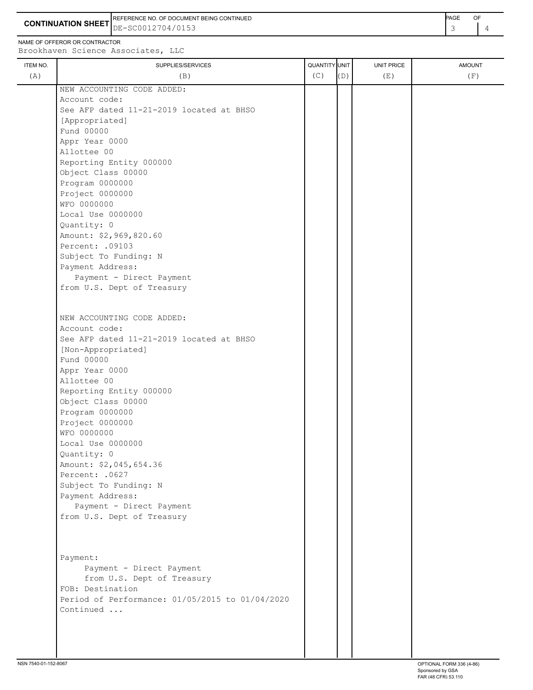**CONTINUATION SHEET** DE-SC0012704/0153 REFERENCE NO. OF DOCUMENT BEING CONTINUED **A CONTINUED PAGE OF PAGE OF PAGE OF PAGE** 

NAME OF OFFEROR OR CONTRACTOR

ITEM NO. ┃ SUPPLIES/SERVICES UNIT PRICE AMOUNT Brookhaven Science Associates, LLC (A)  $(B)$  (B)  $(C)$   $(D)$  (E)  $(E)$  (F) NEW ACCOUNTING CODE ADDED: Account code: See AFP dated 11-21-2019 located at BHSO [Appropriated] Fund 00000 Appr Year 0000 Allottee 00 Reporting Entity 000000 Object Class 00000 Program 0000000 Project 0000000 WFO 0000000 Local Use 0000000 Quantity: 0 Amount: \$2,969,820.60 Percent: .09103 Subject To Funding: N Payment Address: Payment - Direct Payment from U.S. Dept of Treasury NEW ACCOUNTING CODE ADDED: Account code: See AFP dated 11-21-2019 located at BHSO [Non-Appropriated] Fund 00000 Appr Year 0000 Allottee 00 Reporting Entity 000000 Object Class 00000 Program 0000000 Project 0000000 WFO 0000000 Local Use 0000000 Quantity: 0 Amount: \$2,045,654.36 Percent: .0627 Subject To Funding: N Payment Address: Payment - Direct Payment from U.S. Dept of Treasury Payment: Payment - Direct Payment from U.S. Dept of Treasury FOB: Destination Period of Performance: 01/05/2015 to 01/04/2020 Continued ...